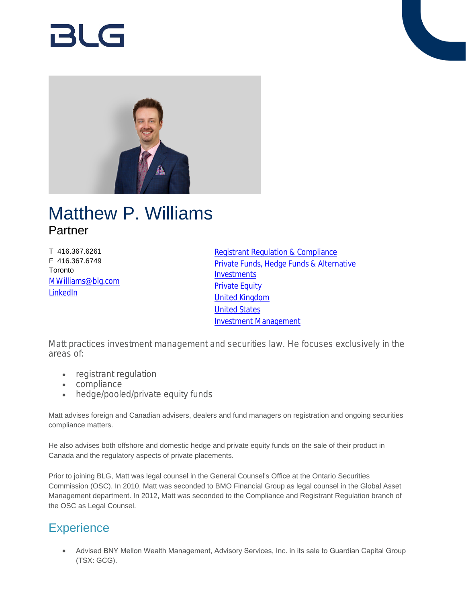

# Matthew P. Williams Partner

T 416.367.6261 F 416.367.6749 **Toronto** [MWilliams@blg.com](mailto:MWilliams@blg.com) [LinkedIn](http://ca.linkedin.com/pub/matt-williams/17/34/b71)

[Registrant Regulation & Compliance](https://www.blg.com/en/services/practice-areas/investment-management/registrant-regulation-,-a-,-compliance) [Private Funds, Hedge Funds & Alternative](https://www.blg.com/en/services/practice-areas/investment-management/private-funds,-hedge-funds-,-a-,-alternative-investments)  **[Investments](https://www.blg.com/en/services/practice-areas/investment-management/private-funds,-hedge-funds-,-a-,-alternative-investments)** [Private Equity](https://www.blg.com/en/services/practice-areas/corporate-commercial/private-equity) [United Kingdom](https://www.blg.com/en/services/international/united-kingdom) [United States](https://www.blg.com/en/services/international/united-states) [Investment Management](https://www.blg.com/en/services/practice-areas/investment-management)

Matt practices investment management and securities law. He focuses exclusively in the areas of:

- registrant regulation
- compliance
- hedge/pooled/private equity funds

Matt advises foreign and Canadian advisers, dealers and fund managers on registration and ongoing securities compliance matters.

He also advises both offshore and domestic hedge and private equity funds on the sale of their product in Canada and the regulatory aspects of private placements.

Prior to joining BLG, Matt was legal counsel in the General Counsel's Office at the Ontario Securities Commission (OSC). In 2010, Matt was seconded to BMO Financial Group as legal counsel in the Global Asset Management department. In 2012, Matt was seconded to the Compliance and Registrant Regulation branch of the OSC as Legal Counsel.

# **Experience**

 Advised BNY Mellon Wealth Management, Advisory Services, Inc. in its sale to Guardian Capital Group (TSX: GCG).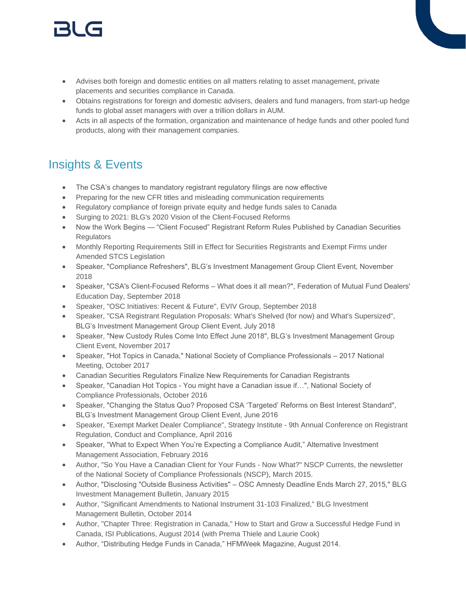# 151 (s

- Advises both foreign and domestic entities on all matters relating to asset management, private placements and securities compliance in Canada.
- Obtains registrations for foreign and domestic advisers, dealers and fund managers, from start-up hedge funds to global asset managers with over a trillion dollars in AUM.
- Acts in all aspects of the formation, organization and maintenance of hedge funds and other pooled fund products, along with their management companies.

# Insights & Events

- The CSA's changes to mandatory registrant regulatory filings are now effective
- Preparing for the new CFR titles and misleading communication requirements
- Regulatory compliance of foreign private equity and hedge funds sales to Canada
- Surging to 2021: BLG's 2020 Vision of the Client-Focused Reforms
- Now the Work Begins "Client Focused" Registrant Reform Rules Published by Canadian Securities **Regulators**
- Monthly Reporting Requirements Still in Effect for Securities Registrants and Exempt Firms under Amended STCS Legislation
- Speaker, "Compliance Refreshers", BLG's Investment Management Group Client Event, November 2018
- Speaker, "CSA's Client-Focused Reforms What does it all mean?", Federation of Mutual Fund Dealers' Education Day, September 2018
- Speaker, "OSC Initiatives: Recent & Future", EVIV Group, September 2018
- Speaker, "CSA Registrant Regulation Proposals: What's Shelved (for now) and What's Supersized", BLG's Investment Management Group Client Event, July 2018
- Speaker, "New Custody Rules Come Into Effect June 2018", BLG's Investment Management Group Client Event, November 2017
- Speaker, "Hot Topics in Canada," National Society of Compliance Professionals 2017 National Meeting, October 2017
- Canadian Securities Regulators Finalize New Requirements for Canadian Registrants
- Speaker, "Canadian Hot Topics You might have a Canadian issue if…", National Society of Compliance Professionals, October 2016
- Speaker, "Changing the Status Quo? Proposed CSA 'Targeted' Reforms on Best Interest Standard", BLG's Investment Management Group Client Event, June 2016
- Speaker, "Exempt Market Dealer Compliance", Strategy Institute 9th Annual Conference on Registrant Regulation, Conduct and Compliance, April 2016
- Speaker, "What to Expect When You're Expecting a Compliance Audit," Alternative Investment Management Association, February 2016
- Author, "So You Have a Canadian Client for Your Funds Now What?" NSCP Currents, the newsletter of the National Society of Compliance Professionals (NSCP), March 2015.
- Author, "Disclosing "Outside Business Activities" OSC Amnesty Deadline Ends March 27, 2015," BLG Investment Management Bulletin, January 2015
- Author, "Significant Amendments to National Instrument 31-103 Finalized," BLG Investment Management Bulletin, October 2014
- Author, "Chapter Three: Registration in Canada," How to Start and Grow a Successful Hedge Fund in Canada, ISI Publications, August 2014 (with Prema Thiele and Laurie Cook)
- Author, "Distributing Hedge Funds in Canada," HFMWeek Magazine, August 2014.